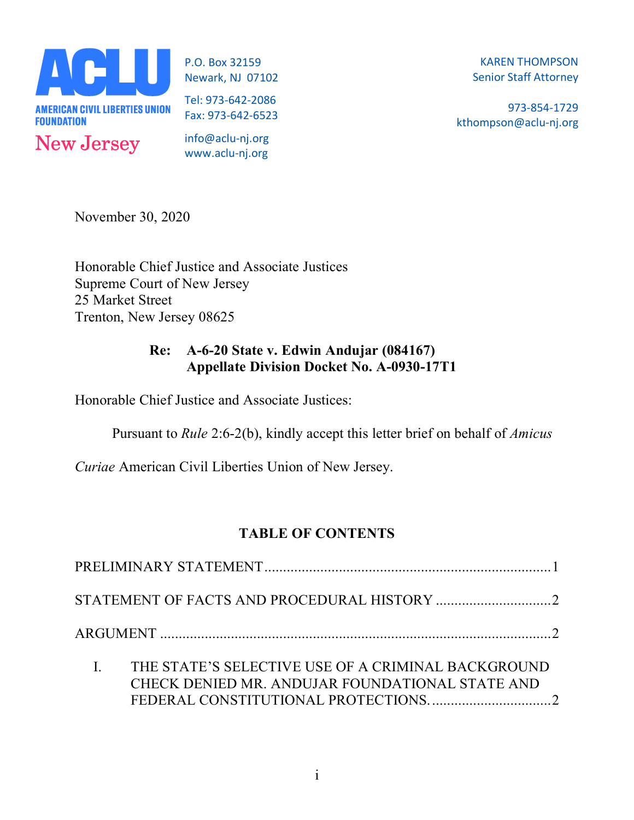

P.O. Box 32159 Newark, NJ 07102

Tel: 973-642-2086 Fax: 973-642-6523

info@aclu-nj.org www.aclu-nj.org

KAREN THOMPSON Senior Staff Attorney

973-854-1729 kthompson@aclu-nj.org

November 30, 2020

Honorable Chief Justice and Associate Justices Supreme Court of New Jersey 25 Market Street Trenton, New Jersey 08625

## **Re: A-6-20 State v. Edwin Andujar (084167) Appellate Division Docket No. A-0930-17T1**

Honorable Chief Justice and Associate Justices:

Pursuant to *Rule* 2:6-2(b), kindly accept this letter brief on behalf of *Amicus* 

*Curiae* American Civil Liberties Union of New Jersey.

# **TABLE OF CONTENTS**

|  | THE STATE'S SELECTIVE USE OF A CRIMINAL BACKGROUND<br>CHECK DENIED MR. ANDUJAR FOUNDATIONAL STATE AND |  |  |
|--|-------------------------------------------------------------------------------------------------------|--|--|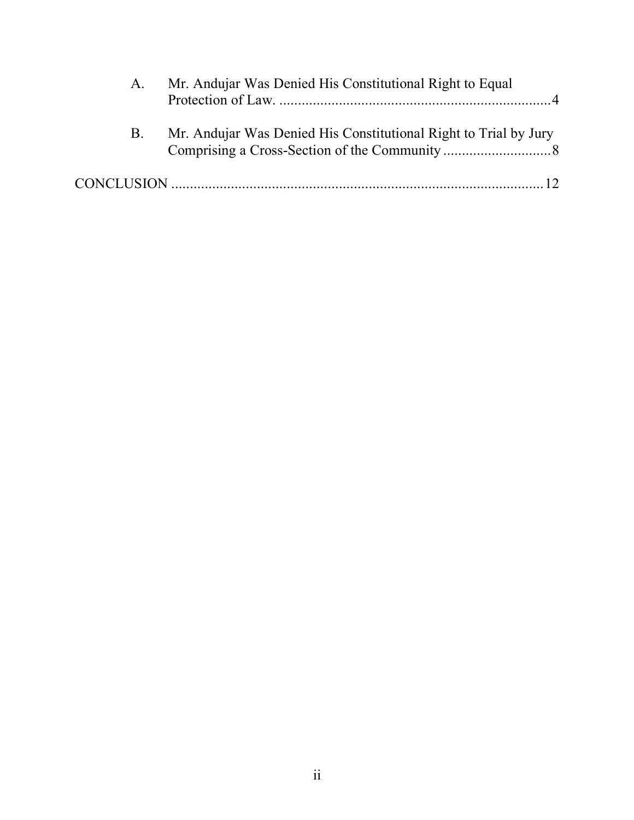| A.         | Mr. Andujar Was Denied His Constitutional Right to Equal         |
|------------|------------------------------------------------------------------|
| <b>B</b> . | Mr. Andujar Was Denied His Constitutional Right to Trial by Jury |
|            |                                                                  |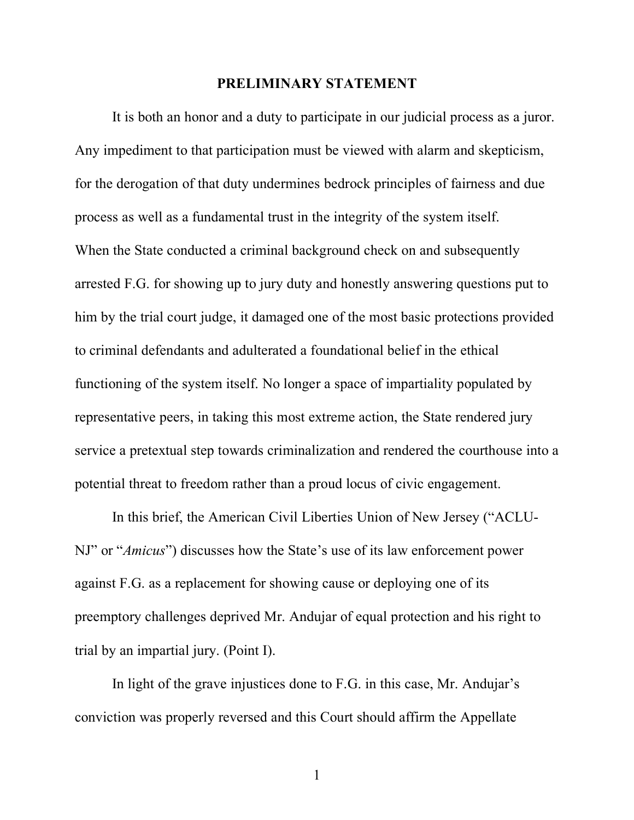### **PRELIMINARY STATEMENT**

It is both an honor and a duty to participate in our judicial process as a juror. Any impediment to that participation must be viewed with alarm and skepticism, for the derogation of that duty undermines bedrock principles of fairness and due process as well as a fundamental trust in the integrity of the system itself. When the State conducted a criminal background check on and subsequently arrested F.G. for showing up to jury duty and honestly answering questions put to him by the trial court judge, it damaged one of the most basic protections provided to criminal defendants and adulterated a foundational belief in the ethical functioning of the system itself. No longer a space of impartiality populated by representative peers, in taking this most extreme action, the State rendered jury service a pretextual step towards criminalization and rendered the courthouse into a potential threat to freedom rather than a proud locus of civic engagement.

In this brief, the American Civil Liberties Union of New Jersey ("ACLU-NJ" or "*Amicus*") discusses how the State's use of its law enforcement power against F.G. as a replacement for showing cause or deploying one of its preemptory challenges deprived Mr. Andujar of equal protection and his right to trial by an impartial jury. (Point I).

In light of the grave injustices done to F.G. in this case, Mr. Andujar's conviction was properly reversed and this Court should affirm the Appellate

1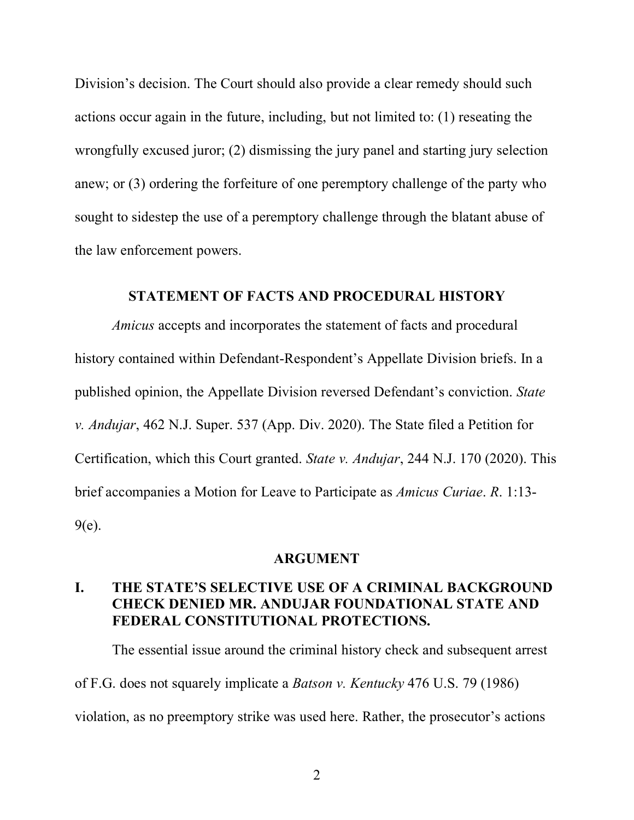Division's decision. The Court should also provide a clear remedy should such actions occur again in the future, including, but not limited to: (1) reseating the wrongfully excused juror; (2) dismissing the jury panel and starting jury selection anew; or (3) ordering the forfeiture of one peremptory challenge of the party who sought to sidestep the use of a peremptory challenge through the blatant abuse of the law enforcement powers.

### **STATEMENT OF FACTS AND PROCEDURAL HISTORY**

*Amicus* accepts and incorporates the statement of facts and procedural history contained within Defendant-Respondent's Appellate Division briefs. In a published opinion, the Appellate Division reversed Defendant's conviction. *State v. Andujar*, 462 N.J. Super. 537 (App. Div. 2020). The State filed a Petition for Certification, which this Court granted. *State v. Andujar*, 244 N.J. 170 (2020). This brief accompanies a Motion for Leave to Participate as *Amicus Curiae*. *R*. 1:13- 9(e).

#### **ARGUMENT**

## **I. THE STATE'S SELECTIVE USE OF A CRIMINAL BACKGROUND CHECK DENIED MR. ANDUJAR FOUNDATIONAL STATE AND FEDERAL CONSTITUTIONAL PROTECTIONS.**

The essential issue around the criminal history check and subsequent arrest of F.G. does not squarely implicate a *Batson v. Kentucky* 476 U.S. 79 (1986) violation, as no preemptory strike was used here. Rather, the prosecutor's actions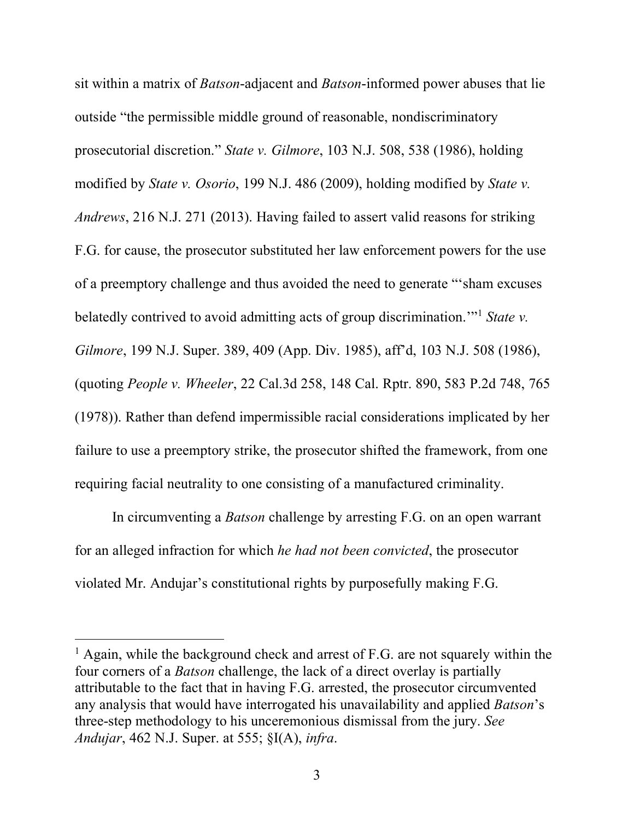sit within a matrix of *Batson*-adjacent and *Batson*-informed power abuses that lie outside "the permissible middle ground of reasonable, nondiscriminatory prosecutorial discretion." *State v. Gilmore*, 103 N.J. 508, 538 (1986), holding modified by *State v. Osorio*, 199 N.J. 486 (2009), holding modified by *State v. Andrews*, 216 N.J. 271 (2013). Having failed to assert valid reasons for striking F.G. for cause, the prosecutor substituted her law enforcement powers for the use of a preemptory challenge and thus avoided the need to generate "'sham excuses belatedly contrived to avoid admitting acts of group discrimination.'"1 *State v. Gilmore*, 199 N.J. Super. 389, 409 (App. Div. 1985), aff'd, 103 N.J. 508 (1986), (quoting *People v. Wheeler*, 22 Cal.3d 258, 148 Cal. Rptr. 890, 583 P.2d 748, 765 (1978)). Rather than defend impermissible racial considerations implicated by her failure to use a preemptory strike, the prosecutor shifted the framework, from one requiring facial neutrality to one consisting of a manufactured criminality.

In circumventing a *Batson* challenge by arresting F.G. on an open warrant for an alleged infraction for which *he had not been convicted*, the prosecutor violated Mr. Andujar's constitutional rights by purposefully making F.G.

 $<sup>1</sup>$  Again, while the background check and arrest of F.G. are not squarely within the</sup> four corners of a *Batson* challenge, the lack of a direct overlay is partially attributable to the fact that in having F.G. arrested, the prosecutor circumvented any analysis that would have interrogated his unavailability and applied *Batson*'s three-step methodology to his unceremonious dismissal from the jury. *See Andujar*, 462 N.J. Super. at 555; §I(A), *infra*.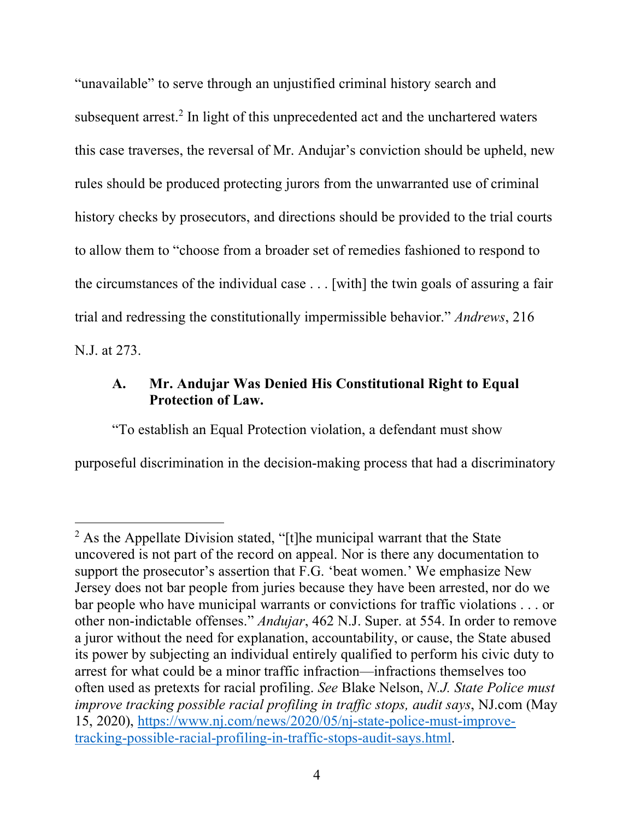"unavailable" to serve through an unjustified criminal history search and subsequent arrest. <sup>2</sup> In light of this unprecedented act and the unchartered waters this case traverses, the reversal of Mr. Andujar's conviction should be upheld, new rules should be produced protecting jurors from the unwarranted use of criminal history checks by prosecutors, and directions should be provided to the trial courts to allow them to "choose from a broader set of remedies fashioned to respond to the circumstances of the individual case . . . [with] the twin goals of assuring a fair trial and redressing the constitutionally impermissible behavior." *Andrews*, 216 N.J. at 273.

## **A. Mr. Andujar Was Denied His Constitutional Right to Equal Protection of Law.**

"To establish an Equal Protection violation, a defendant must show purposeful discrimination in the decision-making process that had a discriminatory

 $2$  As the Appellate Division stated, "[t]he municipal warrant that the State uncovered is not part of the record on appeal. Nor is there any documentation to support the prosecutor's assertion that F.G. 'beat women.' We emphasize New Jersey does not bar people from juries because they have been arrested, nor do we bar people who have municipal warrants or convictions for traffic violations . . . or other non-indictable offenses." *Andujar*, 462 N.J. Super. at 554. In order to remove a juror without the need for explanation, accountability, or cause, the State abused its power by subjecting an individual entirely qualified to perform his civic duty to arrest for what could be a minor traffic infraction—infractions themselves too often used as pretexts for racial profiling. *See* Blake Nelson, *N.J. State Police must improve tracking possible racial profiling in traffic stops, audit says*, NJ.com (May 15, 2020), https://www.nj.com/news/2020/05/nj-state-police-must-improvetracking-possible-racial-profiling-in-traffic-stops-audit-says.html.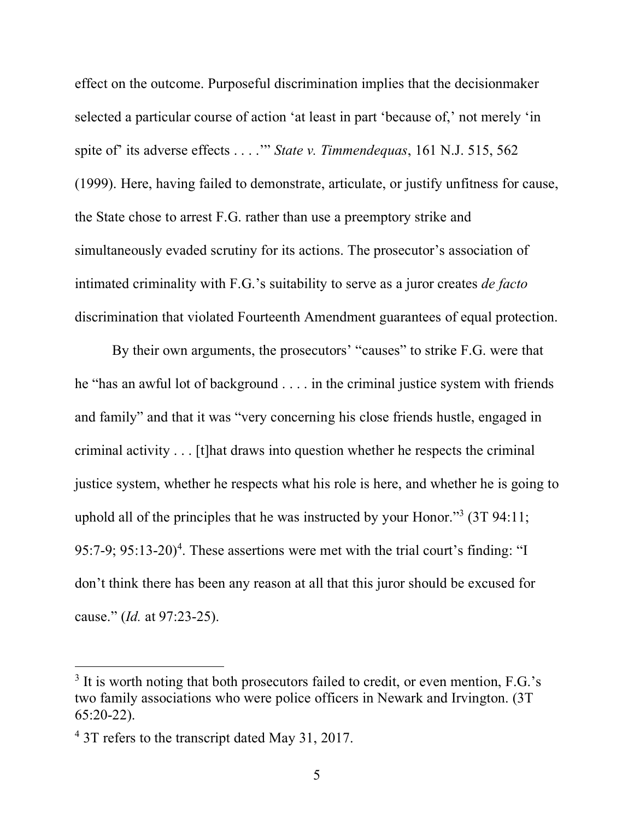effect on the outcome. Purposeful discrimination implies that the decisionmaker selected a particular course of action 'at least in part 'because of,' not merely 'in spite of' its adverse effects . . . .'" *State v. Timmendequas*, 161 N.J. 515, 562 (1999). Here, having failed to demonstrate, articulate, or justify unfitness for cause, the State chose to arrest F.G. rather than use a preemptory strike and simultaneously evaded scrutiny for its actions. The prosecutor's association of intimated criminality with F.G.'s suitability to serve as a juror creates *de facto* discrimination that violated Fourteenth Amendment guarantees of equal protection.

By their own arguments, the prosecutors' "causes" to strike F.G. were that he "has an awful lot of background . . . . in the criminal justice system with friends and family" and that it was "very concerning his close friends hustle, engaged in criminal activity . . . [t]hat draws into question whether he respects the criminal justice system, whether he respects what his role is here, and whether he is going to uphold all of the principles that he was instructed by your Honor."3 (3T 94:11; 95:7-9;  $95:13-20$ <sup>4</sup>. These assertions were met with the trial court's finding: "I don't think there has been any reason at all that this juror should be excused for cause." (*Id.* at 97:23-25).

<sup>&</sup>lt;sup>3</sup> It is worth noting that both prosecutors failed to credit, or even mention, F.G.'s two family associations who were police officers in Newark and Irvington. (3T 65:20-22).

<sup>&</sup>lt;sup>4</sup> 3T refers to the transcript dated May 31, 2017.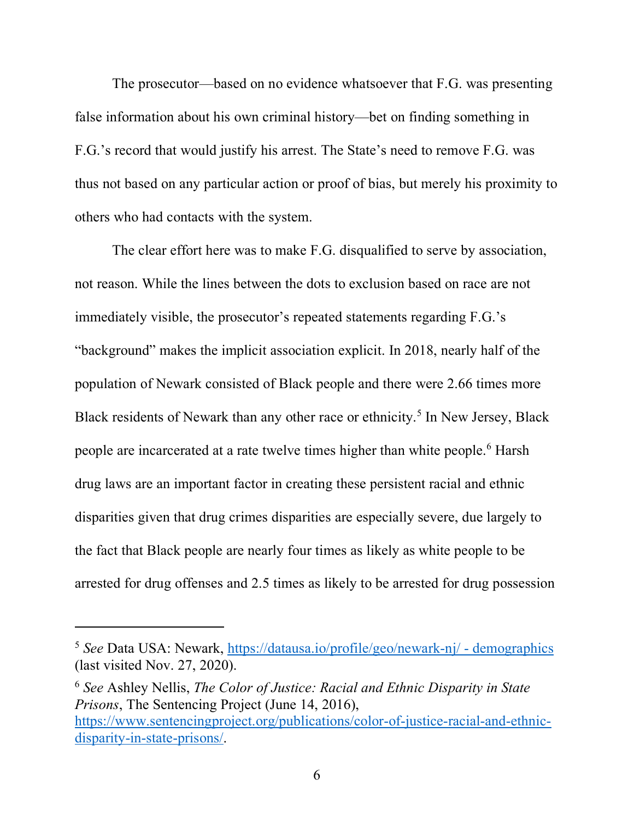The prosecutor—based on no evidence whatsoever that F.G. was presenting false information about his own criminal history—bet on finding something in F.G.'s record that would justify his arrest. The State's need to remove F.G. was thus not based on any particular action or proof of bias, but merely his proximity to others who had contacts with the system.

The clear effort here was to make F.G. disqualified to serve by association, not reason. While the lines between the dots to exclusion based on race are not immediately visible, the prosecutor's repeated statements regarding F.G.'s "background" makes the implicit association explicit. In 2018, nearly half of the population of Newark consisted of Black people and there were 2.66 times more Black residents of Newark than any other race or ethnicity.<sup>5</sup> In New Jersey, Black people are incarcerated at a rate twelve times higher than white people. <sup>6</sup> Harsh drug laws are an important factor in creating these persistent racial and ethnic disparities given that drug crimes disparities are especially severe, due largely to the fact that Black people are nearly four times as likely as white people to be arrested for drug offenses and 2.5 times as likely to be arrested for drug possession

 $\overline{a}$ 

<sup>6</sup> *See* Ashley Nellis, *The Color of Justice: Racial and Ethnic Disparity in State Prisons*, The Sentencing Project (June 14, 2016), https://www.sentencingproject.org/publications/color-of-justice-racial-and-ethnicdisparity-in-state-prisons/.

<sup>5</sup> *See* Data USA: Newark, https://datausa.io/profile/geo/newark-nj/ - demographics (last visited Nov. 27, 2020).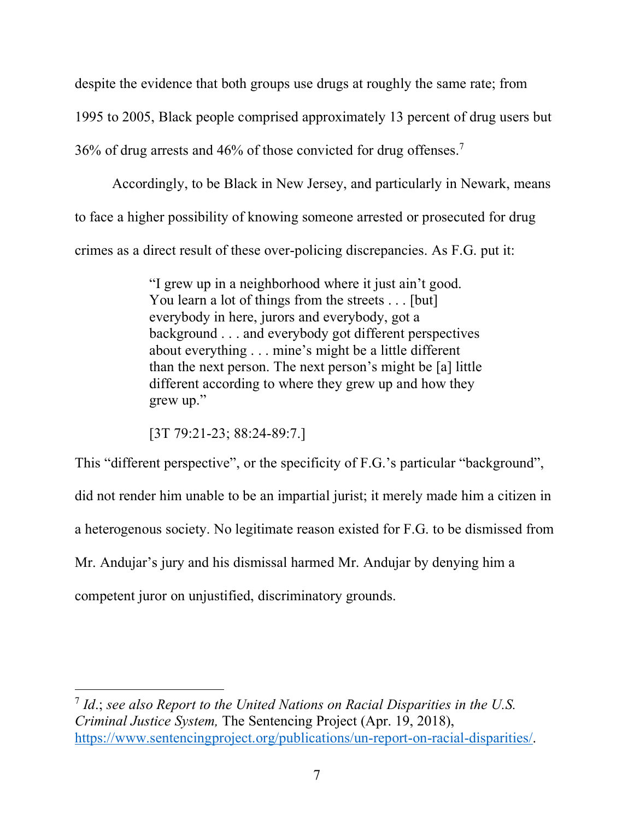despite the evidence that both groups use drugs at roughly the same rate; from 1995 to 2005, Black people comprised approximately 13 percent of drug users but 36% of drug arrests and 46% of those convicted for drug offenses.7

Accordingly, to be Black in New Jersey, and particularly in Newark, means to face a higher possibility of knowing someone arrested or prosecuted for drug crimes as a direct result of these over-policing discrepancies. As F.G. put it:

> "I grew up in a neighborhood where it just ain't good. You learn a lot of things from the streets . . . [but] everybody in here, jurors and everybody, got a background . . . and everybody got different perspectives about everything . . . mine's might be a little different than the next person. The next person's might be [a] little different according to where they grew up and how they grew up."

[3T 79:21-23; 88:24-89:7.]

This "different perspective", or the specificity of F.G.'s particular "background",

did not render him unable to be an impartial jurist; it merely made him a citizen in

a heterogenous society. No legitimate reason existed for F.G. to be dismissed from

Mr. Andujar's jury and his dismissal harmed Mr. Andujar by denying him a

competent juror on unjustified, discriminatory grounds.

 $\overline{a}$ 

<sup>7</sup> *Id*.; *see also Report to the United Nations on Racial Disparities in the U.S. Criminal Justice System,* The Sentencing Project (Apr. 19, 2018), https://www.sentencingproject.org/publications/un-report-on-racial-disparities/.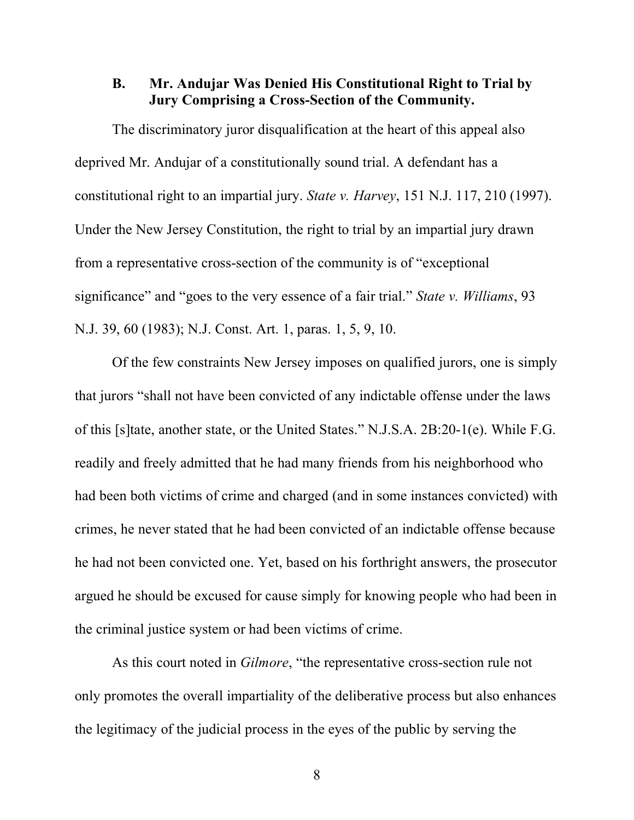### **B. Mr. Andujar Was Denied His Constitutional Right to Trial by Jury Comprising a Cross-Section of the Community.**

The discriminatory juror disqualification at the heart of this appeal also deprived Mr. Andujar of a constitutionally sound trial. A defendant has a constitutional right to an impartial jury. *State v. Harvey*, 151 N.J. 117, 210 (1997). Under the New Jersey Constitution, the right to trial by an impartial jury drawn from a representative cross-section of the community is of "exceptional significance" and "goes to the very essence of a fair trial." *State v. Williams*, 93 N.J. 39, 60 (1983); N.J. Const. Art. 1, paras. 1, 5, 9, 10.

Of the few constraints New Jersey imposes on qualified jurors, one is simply that jurors "shall not have been convicted of any indictable offense under the laws of this [s]tate, another state, or the United States." N.J.S.A. 2B:20-1(e). While F.G. readily and freely admitted that he had many friends from his neighborhood who had been both victims of crime and charged (and in some instances convicted) with crimes, he never stated that he had been convicted of an indictable offense because he had not been convicted one. Yet, based on his forthright answers, the prosecutor argued he should be excused for cause simply for knowing people who had been in the criminal justice system or had been victims of crime.

As this court noted in *Gilmore*, "the representative cross-section rule not only promotes the overall impartiality of the deliberative process but also enhances the legitimacy of the judicial process in the eyes of the public by serving the

8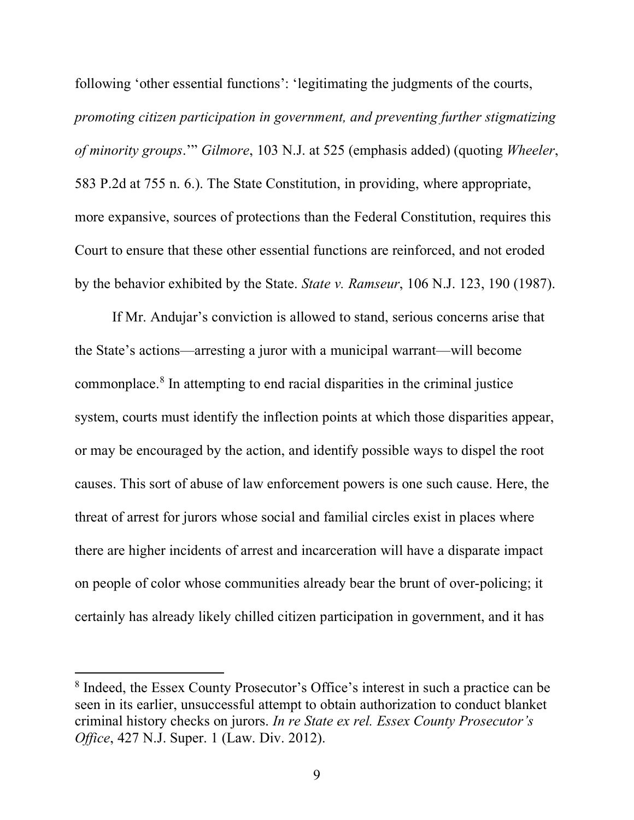following 'other essential functions': 'legitimating the judgments of the courts, *promoting citizen participation in government, and preventing further stigmatizing of minority groups*.'" *Gilmore*, 103 N.J. at 525 (emphasis added) (quoting *Wheeler*, 583 P.2d at 755 n. 6.). The State Constitution, in providing, where appropriate, more expansive, sources of protections than the Federal Constitution, requires this Court to ensure that these other essential functions are reinforced, and not eroded by the behavior exhibited by the State. *State v. Ramseur*, 106 N.J. 123, 190 (1987).

If Mr. Andujar's conviction is allowed to stand, serious concerns arise that the State's actions—arresting a juror with a municipal warrant—will become commonplace.8 In attempting to end racial disparities in the criminal justice system, courts must identify the inflection points at which those disparities appear, or may be encouraged by the action, and identify possible ways to dispel the root causes. This sort of abuse of law enforcement powers is one such cause. Here, the threat of arrest for jurors whose social and familial circles exist in places where there are higher incidents of arrest and incarceration will have a disparate impact on people of color whose communities already bear the brunt of over-policing; it certainly has already likely chilled citizen participation in government, and it has

<sup>8</sup> Indeed, the Essex County Prosecutor's Office's interest in such a practice can be seen in its earlier, unsuccessful attempt to obtain authorization to conduct blanket criminal history checks on jurors. *In re State ex rel. Essex County Prosecutor's Office*, 427 N.J. Super. 1 (Law. Div. 2012).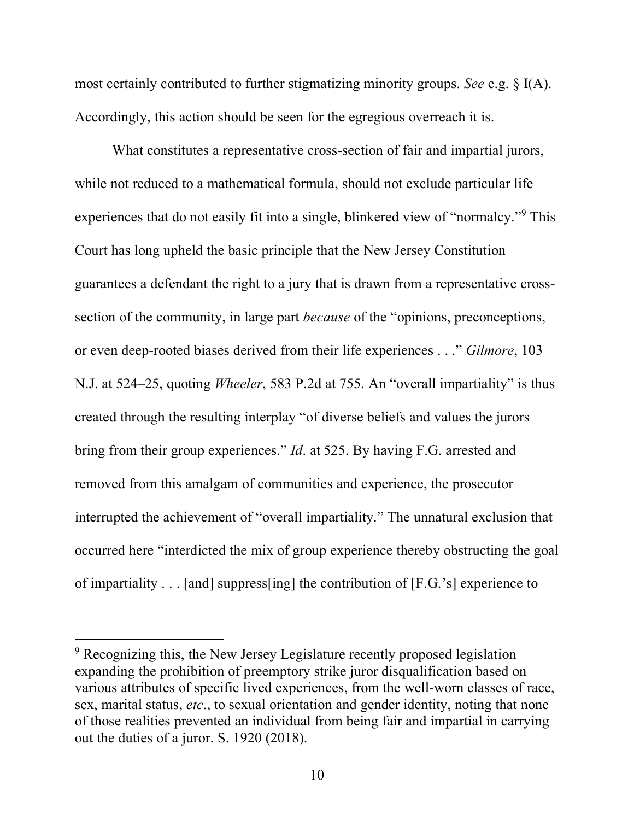most certainly contributed to further stigmatizing minority groups. *See* e.g. § I(A). Accordingly, this action should be seen for the egregious overreach it is.

What constitutes a representative cross-section of fair and impartial jurors, while not reduced to a mathematical formula, should not exclude particular life experiences that do not easily fit into a single, blinkered view of "normalcy."9 This Court has long upheld the basic principle that the New Jersey Constitution guarantees a defendant the right to a jury that is drawn from a representative crosssection of the community, in large part *because* of the "opinions, preconceptions, or even deep-rooted biases derived from their life experiences . . ." *Gilmore*, 103 N.J. at 524–25, quoting *Wheeler*, 583 P.2d at 755. An "overall impartiality" is thus created through the resulting interplay "of diverse beliefs and values the jurors bring from their group experiences." *Id*. at 525. By having F.G. arrested and removed from this amalgam of communities and experience, the prosecutor interrupted the achievement of "overall impartiality." The unnatural exclusion that occurred here "interdicted the mix of group experience thereby obstructing the goal of impartiality . . . [and] suppress[ing] the contribution of [F.G.'s] experience to

<sup>&</sup>lt;sup>9</sup> Recognizing this, the New Jersey Legislature recently proposed legislation expanding the prohibition of preemptory strike juror disqualification based on various attributes of specific lived experiences, from the well-worn classes of race, sex, marital status, *etc*., to sexual orientation and gender identity, noting that none of those realities prevented an individual from being fair and impartial in carrying out the duties of a juror. S. 1920 (2018).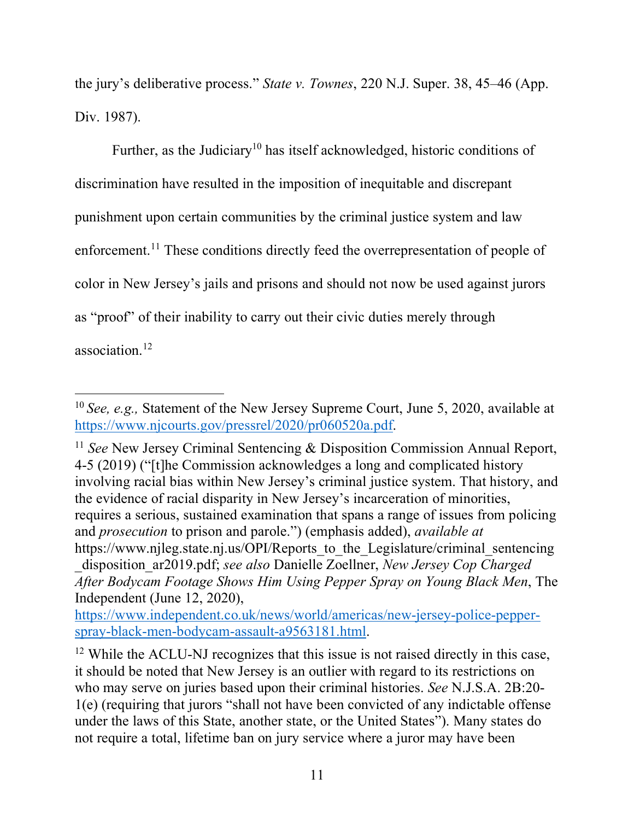the jury's deliberative process." *State v. Townes*, 220 N.J. Super. 38, 45–46 (App. Div. 1987).

Further, as the Judiciary<sup>10</sup> has itself acknowledged, historic conditions of discrimination have resulted in the imposition of inequitable and discrepant punishment upon certain communities by the criminal justice system and law enforcement.<sup>11</sup> These conditions directly feed the overrepresentation of people of color in New Jersey's jails and prisons and should not now be used against jurors as "proof" of their inability to carry out their civic duties merely through association.12

 $\overline{a}$ 

<sup>11</sup> *See* New Jersey Criminal Sentencing & Disposition Commission Annual Report, 4-5 (2019) ("[t]he Commission acknowledges a long and complicated history involving racial bias within New Jersey's criminal justice system. That history, and the evidence of racial disparity in New Jersey's incarceration of minorities, requires a serious, sustained examination that spans a range of issues from policing and *prosecution* to prison and parole.") (emphasis added), *available at* https://www.njleg.state.nj.us/OPI/Reports to the Legislature/criminal sentencing \_disposition\_ar2019.pdf; *see also* Danielle Zoellner, *New Jersey Cop Charged After Bodycam Footage Shows Him Using Pepper Spray on Young Black Men*, The Independent (June 12, 2020),

https://www.independent.co.uk/news/world/americas/new-jersey-police-pepperspray-black-men-bodycam-assault-a9563181.html.

<sup>12</sup> While the ACLU-NJ recognizes that this issue is not raised directly in this case, it should be noted that New Jersey is an outlier with regard to its restrictions on who may serve on juries based upon their criminal histories. *See* N.J.S.A. 2B:20- 1(e) (requiring that jurors "shall not have been convicted of any indictable offense under the laws of this State, another state, or the United States"). Many states do not require a total, lifetime ban on jury service where a juror may have been

<sup>10</sup> *See, e.g.,* Statement of the New Jersey Supreme Court, June 5, 2020, available at https://www.njcourts.gov/pressrel/2020/pr060520a.pdf.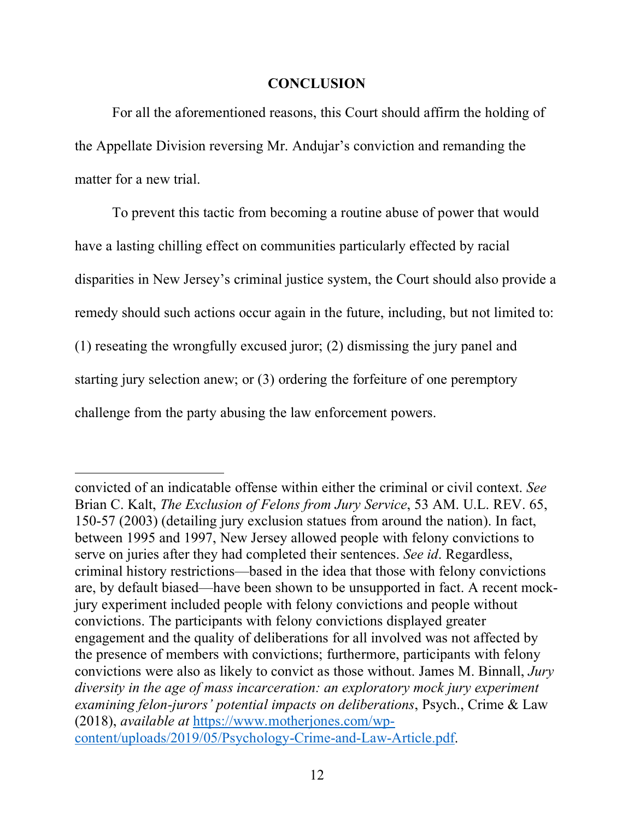### **CONCLUSION**

For all the aforementioned reasons, this Court should affirm the holding of the Appellate Division reversing Mr. Andujar's conviction and remanding the matter for a new trial.

To prevent this tactic from becoming a routine abuse of power that would have a lasting chilling effect on communities particularly effected by racial disparities in New Jersey's criminal justice system, the Court should also provide a remedy should such actions occur again in the future, including, but not limited to: (1) reseating the wrongfully excused juror; (2) dismissing the jury panel and starting jury selection anew; or (3) ordering the forfeiture of one peremptory challenge from the party abusing the law enforcement powers.

convicted of an indicatable offense within either the criminal or civil context. *See*  Brian C. Kalt, *The Exclusion of Felons from Jury Service*, 53 AM. U.L. REV. 65, 150-57 (2003) (detailing jury exclusion statues from around the nation). In fact, between 1995 and 1997, New Jersey allowed people with felony convictions to serve on juries after they had completed their sentences. *See id*. Regardless, criminal history restrictions—based in the idea that those with felony convictions are, by default biased—have been shown to be unsupported in fact. A recent mockjury experiment included people with felony convictions and people without convictions. The participants with felony convictions displayed greater engagement and the quality of deliberations for all involved was not affected by the presence of members with convictions; furthermore, participants with felony convictions were also as likely to convict as those without. James M. Binnall, *Jury diversity in the age of mass incarceration: an exploratory mock jury experiment examining felon-jurors' potential impacts on deliberations*, Psych., Crime & Law (2018), *available at* https://www.motherjones.com/wpcontent/uploads/2019/05/Psychology-Crime-and-Law-Article.pdf.